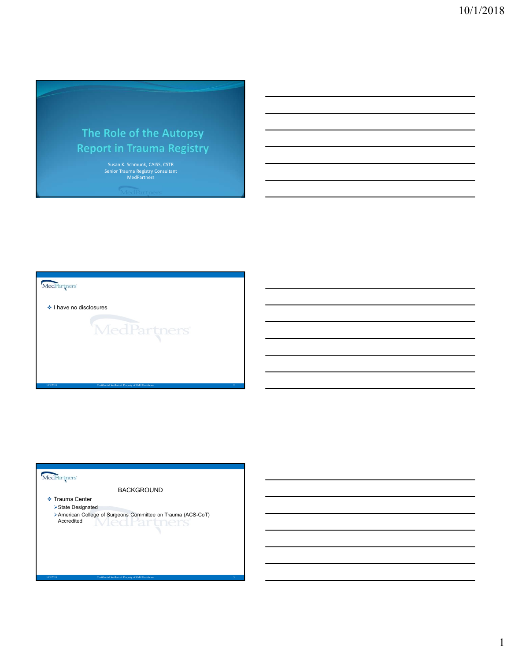# The Role of the Autopsy **Report in Trauma Registry**

Susan K. Schmunk, CAISS, CSTR<br>Senior Trauma Registry Consultant MedPartners<br>MedPartners MedPartners

 $\div$  I have no disclosures

1000 of American Property of American Property of American Property of American Property of American Property of American Property of American Property of American Property of American Property of American Property of Amer

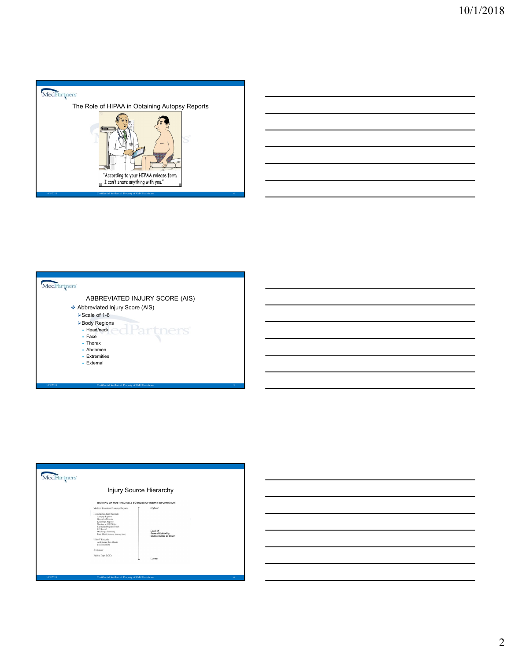





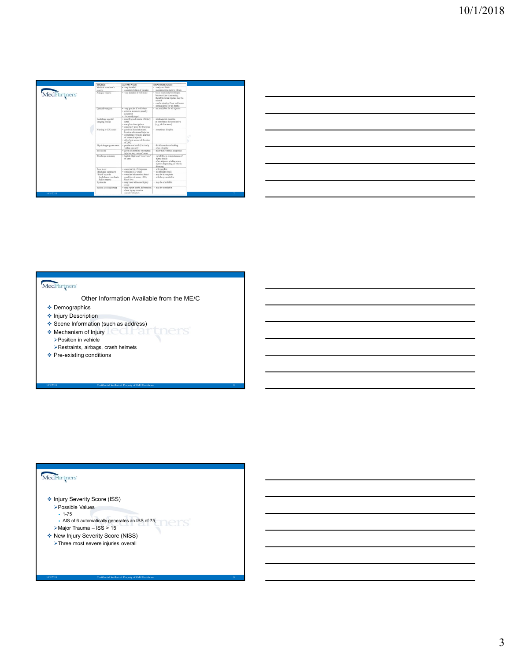|                                                             |                                                                                                                                                                                                   |                                                                                                                                                                                                                                                                                                                                                                                                                                                                                                                                                                       |                                                                                                                                                                                                                                                                                                                                                                                                                                                                                                                                                                                 |  |  | 10/1/2018 |
|-------------------------------------------------------------|---------------------------------------------------------------------------------------------------------------------------------------------------------------------------------------------------|-----------------------------------------------------------------------------------------------------------------------------------------------------------------------------------------------------------------------------------------------------------------------------------------------------------------------------------------------------------------------------------------------------------------------------------------------------------------------------------------------------------------------------------------------------------------------|---------------------------------------------------------------------------------------------------------------------------------------------------------------------------------------------------------------------------------------------------------------------------------------------------------------------------------------------------------------------------------------------------------------------------------------------------------------------------------------------------------------------------------------------------------------------------------|--|--|-----------|
|                                                             |                                                                                                                                                                                                   |                                                                                                                                                                                                                                                                                                                                                                                                                                                                                                                                                                       |                                                                                                                                                                                                                                                                                                                                                                                                                                                                                                                                                                                 |  |  |           |
|                                                             |                                                                                                                                                                                                   |                                                                                                                                                                                                                                                                                                                                                                                                                                                                                                                                                                       |                                                                                                                                                                                                                                                                                                                                                                                                                                                                                                                                                                                 |  |  |           |
|                                                             |                                                                                                                                                                                                   |                                                                                                                                                                                                                                                                                                                                                                                                                                                                                                                                                                       |                                                                                                                                                                                                                                                                                                                                                                                                                                                                                                                                                                                 |  |  |           |
|                                                             |                                                                                                                                                                                                   |                                                                                                                                                                                                                                                                                                                                                                                                                                                                                                                                                                       |                                                                                                                                                                                                                                                                                                                                                                                                                                                                                                                                                                                 |  |  |           |
|                                                             |                                                                                                                                                                                                   |                                                                                                                                                                                                                                                                                                                                                                                                                                                                                                                                                                       |                                                                                                                                                                                                                                                                                                                                                                                                                                                                                                                                                                                 |  |  |           |
|                                                             | SOURCE<br>Medical exam                                                                                                                                                                            | $\begin{array}{ll} \texttt{ADVANTAGES} \\ \texttt{• very detailed} \\ \texttt{• complete listing of injuries} \\ \texttt{• very detailed if well does} \end{array}$                                                                                                                                                                                                                                                                                                                                                                                                   | DISADVANTAGE(S)                                                                                                                                                                                                                                                                                                                                                                                                                                                                                                                                                                 |  |  |           |
| MedPartners                                                 | reports<br>Autopsy reports                                                                                                                                                                        |                                                                                                                                                                                                                                                                                                                                                                                                                                                                                                                                                                       | $\begin{tabular}{l} \textbf{O} \textbf{B} \textbf{ADW} \textbf{ATG} \textbf{B} \textbf{S} \textbf{D} \textbf{S} \textbf{D} \textbf{S} \textbf{D} \textbf{D} \textbf{D} \textbf{B} \textbf{D} \textbf{D} \textbf{B} \textbf{D} \textbf{D} \textbf{B} \textbf{D} \textbf{S} \textbf{S} \textbf{S} \textbf{S} \textbf{S} \textbf{D} \textbf{D} \textbf{D} \textbf{B} \textbf{B} \textbf{B} \textbf{B} \textbf{B} \textbf{B}$                                                                                                                                                       |  |  |           |
|                                                             | Operative reports                                                                                                                                                                                 |                                                                                                                                                                                                                                                                                                                                                                                                                                                                                                                                                                       |                                                                                                                                                                                                                                                                                                                                                                                                                                                                                                                                                                                 |  |  |           |
|                                                             | $\begin{tabular}{ c c } \hline Radiology reports\\ imaging studies\\ \hline \end{tabular}$                                                                                                        |                                                                                                                                                                                                                                                                                                                                                                                                                                                                                                                                                                       |                                                                                                                                                                                                                                                                                                                                                                                                                                                                                                                                                                                 |  |  |           |
|                                                             | Nursing or ICU notes                                                                                                                                                                              |                                                                                                                                                                                                                                                                                                                                                                                                                                                                                                                                                                       |                                                                                                                                                                                                                                                                                                                                                                                                                                                                                                                                                                                 |  |  |           |
|                                                             |                                                                                                                                                                                                   |                                                                                                                                                                                                                                                                                                                                                                                                                                                                                                                                                                       |                                                                                                                                                                                                                                                                                                                                                                                                                                                                                                                                                                                 |  |  |           |
|                                                             | Physician progress notes<br>ED record                                                                                                                                                             |                                                                                                                                                                                                                                                                                                                                                                                                                                                                                                                                                                       |                                                                                                                                                                                                                                                                                                                                                                                                                                                                                                                                                                                 |  |  |           |
|                                                             | Discharge sur                                                                                                                                                                                     |                                                                                                                                                                                                                                                                                                                                                                                                                                                                                                                                                                       |                                                                                                                                                                                                                                                                                                                                                                                                                                                                                                                                                                                 |  |  |           |
|                                                             |                                                                                                                                                                                                   |                                                                                                                                                                                                                                                                                                                                                                                                                                                                                                                                                                       | $\begin{tabular}{p{0.85\textwidth}} \centering \begin{tabular}{p{0.85\textwidth}} \centering \end{tabular} \centering \begin{tabular}{p{0.85\textwidth}} \centering \end{tabular} \centering \begin{tabular}{p{0.85\textwidth}} \centering \end{tabular} \centering \begin{tabular}{p{0.85\textwidth}} \centering \end{tabular} \centering \begin{tabular}{p{0.85\textwidth}} \centering \end{tabular} \centering \begin{tabular}{p{0.85\textwidth}} \centering \end{tabular} \centering \begin{tabular}{p{0.85\textwidth}} \centering \end{tabular} \centering \begin{tabular$ |  |  |           |
|                                                             | $\begin{tabular}{ l l } \hline \textbf{Free sheet} \\ \textbf{(discharge summary)} \\ \hline "Field" records \\ \textbf{Andolance run sheets} \\ \textbf{Police reports} \\ \hline \end{tabular}$ | $\begin{array}{l} \bullet \text{~continuous~} \text{~of~diagness}\\ \bullet \text{~continuous~} \text{ICD codes}\\ \bullet \text{~continuous~} \text{bottom~abot} \\ \bullet \text{~continuous~} \text{bound} \\ \bullet \text{~value~} \text{~~value~} \text{~~} \text{time} \\ \bullet \text{~value~} \text{~~value~} \text{~~value~} \\ \bullet \text{~num~} \text{pro to~} \text{t} \text{sim} \text{t} \\ \bullet \text{out~} \text{right~} \text{~~value~} \\ \bullet \text{out~} \text{time~value~} \text{~~value~} \\ \bullet \text{non} \text{circ~} \text{$ | · may be unreliable                                                                                                                                                                                                                                                                                                                                                                                                                                                                                                                                                             |  |  |           |
|                                                             | atient (self-reported)                                                                                                                                                                            |                                                                                                                                                                                                                                                                                                                                                                                                                                                                                                                                                                       | may be unreliable                                                                                                                                                                                                                                                                                                                                                                                                                                                                                                                                                               |  |  |           |
|                                                             |                                                                                                                                                                                                   |                                                                                                                                                                                                                                                                                                                                                                                                                                                                                                                                                                       |                                                                                                                                                                                                                                                                                                                                                                                                                                                                                                                                                                                 |  |  |           |
|                                                             |                                                                                                                                                                                                   |                                                                                                                                                                                                                                                                                                                                                                                                                                                                                                                                                                       |                                                                                                                                                                                                                                                                                                                                                                                                                                                                                                                                                                                 |  |  |           |
|                                                             |                                                                                                                                                                                                   |                                                                                                                                                                                                                                                                                                                                                                                                                                                                                                                                                                       |                                                                                                                                                                                                                                                                                                                                                                                                                                                                                                                                                                                 |  |  |           |
|                                                             |                                                                                                                                                                                                   |                                                                                                                                                                                                                                                                                                                                                                                                                                                                                                                                                                       |                                                                                                                                                                                                                                                                                                                                                                                                                                                                                                                                                                                 |  |  |           |
|                                                             |                                                                                                                                                                                                   |                                                                                                                                                                                                                                                                                                                                                                                                                                                                                                                                                                       |                                                                                                                                                                                                                                                                                                                                                                                                                                                                                                                                                                                 |  |  |           |
|                                                             |                                                                                                                                                                                                   |                                                                                                                                                                                                                                                                                                                                                                                                                                                                                                                                                                       |                                                                                                                                                                                                                                                                                                                                                                                                                                                                                                                                                                                 |  |  |           |
|                                                             |                                                                                                                                                                                                   |                                                                                                                                                                                                                                                                                                                                                                                                                                                                                                                                                                       |                                                                                                                                                                                                                                                                                                                                                                                                                                                                                                                                                                                 |  |  |           |
|                                                             |                                                                                                                                                                                                   |                                                                                                                                                                                                                                                                                                                                                                                                                                                                                                                                                                       | Other Information Available from the ME/C                                                                                                                                                                                                                                                                                                                                                                                                                                                                                                                                       |  |  |           |
| MedPartners<br>❖ Demographics<br>❖ Injury Description       |                                                                                                                                                                                                   |                                                                                                                                                                                                                                                                                                                                                                                                                                                                                                                                                                       |                                                                                                                                                                                                                                                                                                                                                                                                                                                                                                                                                                                 |  |  |           |
| Scene Information (such as address)                         |                                                                                                                                                                                                   |                                                                                                                                                                                                                                                                                                                                                                                                                                                                                                                                                                       |                                                                                                                                                                                                                                                                                                                                                                                                                                                                                                                                                                                 |  |  |           |
| ❖ Mechanism of Injury                                       |                                                                                                                                                                                                   | ેલા વા                                                                                                                                                                                                                                                                                                                                                                                                                                                                                                                                                                | tners                                                                                                                                                                                                                                                                                                                                                                                                                                                                                                                                                                           |  |  |           |
| ▶ Position in vehicle<br>Restraints, airbags, crash helmets |                                                                                                                                                                                                   |                                                                                                                                                                                                                                                                                                                                                                                                                                                                                                                                                                       |                                                                                                                                                                                                                                                                                                                                                                                                                                                                                                                                                                                 |  |  |           |
|                                                             |                                                                                                                                                                                                   |                                                                                                                                                                                                                                                                                                                                                                                                                                                                                                                                                                       |                                                                                                                                                                                                                                                                                                                                                                                                                                                                                                                                                                                 |  |  |           |
|                                                             |                                                                                                                                                                                                   |                                                                                                                                                                                                                                                                                                                                                                                                                                                                                                                                                                       |                                                                                                                                                                                                                                                                                                                                                                                                                                                                                                                                                                                 |  |  |           |
| ❖ Pre-existing conditions                                   |                                                                                                                                                                                                   |                                                                                                                                                                                                                                                                                                                                                                                                                                                                                                                                                                       |                                                                                                                                                                                                                                                                                                                                                                                                                                                                                                                                                                                 |  |  |           |
|                                                             |                                                                                                                                                                                                   | Confidential Intellectual Property of AMN Healthca                                                                                                                                                                                                                                                                                                                                                                                                                                                                                                                    |                                                                                                                                                                                                                                                                                                                                                                                                                                                                                                                                                                                 |  |  |           |
|                                                             |                                                                                                                                                                                                   |                                                                                                                                                                                                                                                                                                                                                                                                                                                                                                                                                                       |                                                                                                                                                                                                                                                                                                                                                                                                                                                                                                                                                                                 |  |  |           |

| <u> 1989 - Andrea Andrew Maria (h. 1989).</u>                                                                          |  |  |  |
|------------------------------------------------------------------------------------------------------------------------|--|--|--|
|                                                                                                                        |  |  |  |
| <u> 1989 - Andrea Andrew Maria (h. 1989).</u>                                                                          |  |  |  |
| <u> 1989 - Johann Barn, mars ann an t-Amhainn an t-Amhainn an t-Amhainn an t-Amhainn an t-Amhainn an t-Amhainn an </u> |  |  |  |
|                                                                                                                        |  |  |  |
| <u> 1989 - Johann Barn, mars ann an t-Amhain ann an t-Amhain ann an t-Amhain ann an t-Amhain an t-Amhain ann an t-</u> |  |  |  |
|                                                                                                                        |  |  |  |

- $\triangleleft$  Demographics
- ❖ Injury Description
- ◆ Scene Information (such as address)
- \* Mechanism of Injury **COLPATTIONS** Position in vehicle
	- Restraints, airbags, crash helmets
- ❖ Pre-existing conditions

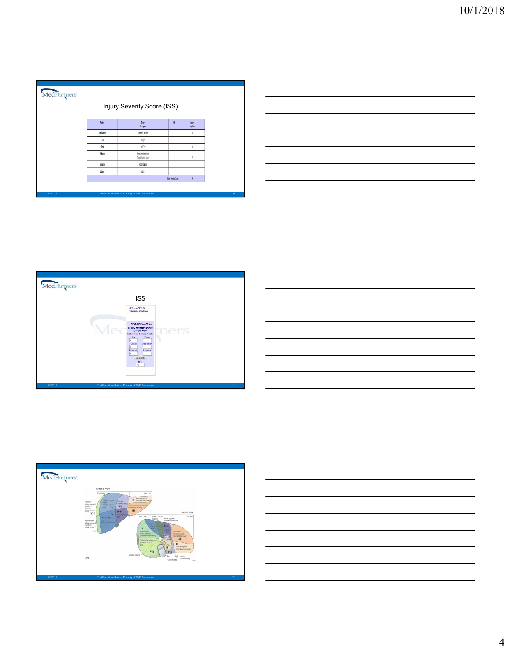| MedPartners |                      |                                                   |                      |                                           |  |
|-------------|----------------------|---------------------------------------------------|----------------------|-------------------------------------------|--|
|             |                      | Injury Severity Score (ISS)                       |                      |                                           |  |
|             | 蹦                    | lijay<br>Desciption                               | $\sqrt{5}$           | $\frac{\text{Sym}}{\text{log}\text{Im}z}$ |  |
|             | <b>Red &amp; Ned</b> | Cestral Conteilor                                 | ĵ                    | ٩                                         |  |
|             | <b>Box</b>           | <b>kins</b>                                       |                      |                                           |  |
|             | 0st                  | <b>Ridet</b>                                      | ł                    | 16                                        |  |
|             | <b>Mine</b>          | <b>Mor Contain of Ever</b><br>Comple Rudors Scien | š                    | õ                                         |  |
|             | Edoutiv              | Industion                                         | ĵ                    |                                           |  |
|             | External             | kins                                              |                      |                                           |  |
|             |                      |                                                   | Tojoy Seventy Score: | $\overline{\mathbf{y}}$                   |  |









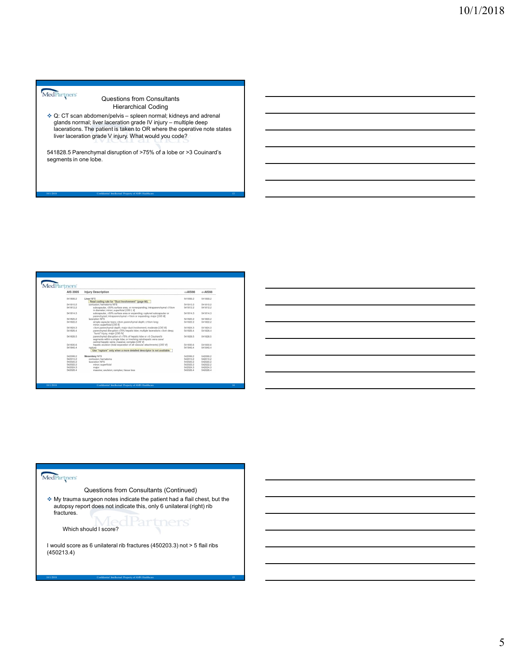Questions from Consultants Hierarchical Coding

Contributions of Consultants<br>
Consultants<br>
Consultants<br>
C: CT scan abdomen/pelvis – spleen normal; kidneys and adrenal<br>
plands normal; liver laceration grade IV injury – multiple deep<br>
liver lacerations The patient is take West the Machineson from Consultants<br>Constant of the Machineson consultants<br>and a formal; liver leaceration grade V injury – multiple deep<br>diacerations. The patient is taken to OR where the operative note states<br>liver lace ❖ Q: CT scan abdomen/pelvis – spleen normal; kidneys and adrenal glands normal; liver laceration grade IV injury – multiple deep<br>lacerations. The patient is taken to OR where the operative note states liver laceration grade V injury. What would you code?  $\begin{array}{|l|l|}\hline \text{10/1/2018}\hline \text{Cuchy}_{\text{W2N}}\end{array} \\\begin{array}{|l|l|} \hline \text{Cauchy}_{\text{W2N}}\end{array} \\\begin{array}{|l|l|} \hline \text{Cauchy}_{\text{W2N}}\end{array} \\\begin{array}{|l|l|} \hline \text{Cauchy}_{\text{H2N}}\end{array} \begin{array}{|l|l|} \hline \text{Cauchy}_{\text{H2N}}\end{array} \begin{array}{|l|l|} \hline \text{Cauchy}_{\text{H2N}}\end{array} \begin{array}{$ 

541828.5 Parenchymal disruption of >75% of a lobe or >3 Couinard's segments in one lobe.

| Confidential Intellectual Property of AMN Healthcare<br>-13<br>MedPartners<br>AIS 2005<br>Injury Description<br>$\Rightarrow$ AIS98<br>$\leftarrow$ AIS98<br>541899.2<br>Liver NFS<br>541899.2<br>541899.2<br>Read coding rule for "Duct Involvement" (page 90).<br>541810.2<br>541810.2<br>541810.2<br>contusion; homatoma NFS<br>subcapsular, ≤50% surface area, or nonexpanding; intraparenchymal ≤10cm<br>541812.2<br>541812.2<br>541812.2<br>in diameter; minor; superficial [OfS I, II]<br>541814.3<br>subcapsular, >50% surface area or expanding; ruptured subcapsular or<br>541814.3<br>541814.3<br>parenchymal; intraparenchymal >10cm or expanding; major [OIS III]<br>541820.2<br>laceration NFS<br>541820.2<br>541820.2<br>simple capsular tears; s3cm parenchymal depth; s10cm long;<br>541822.2<br>541822.2<br>541822.2<br>minor; superficial [OIS II]<br>>3cm parenchymal depth; major duct involvement; moderate [OIS III]<br>541824.3<br>541824.3<br>541824.3<br>541826.4<br>parenchymal disruption ≤75% hepatic lobe; multiple lacerations >3cm deep;<br>541826.4<br>541826.4<br>"burst" injury; major [OIS IV]<br>541828.5<br>parenchymal disruption of >75% of hepatic lobe or >3 Coulnard's<br>541828.5<br>541828.5<br>segments within a single lobe; or involving retrohepatic vena cava/<br>central hepatic veins; massive; complex [OIS V]<br>hepatic avulsion (total separation of all vascular attachments) [OIS VI]<br>541830.6<br>541830.6<br>541830.6<br>541840.4<br>541840.4<br>541840.4<br>rupture<br>Use "rupture" only when a more detailed descriptor is not available.<br>542099.2<br>Mesentery NFS<br>542099.2<br>542099.2<br>542010.2<br>contusion; hematoma<br>542010.2<br>542010.2<br>542020.2<br>laceration NFS<br>542020.2<br>542020.2<br>542022.2<br>542022.2<br>minor; superficial<br>542022.2<br>542024.3<br>542024.3<br>542024.3<br>major |           |                                         |          |          |  |  |  |  |
|-----------------------------------------------------------------------------------------------------------------------------------------------------------------------------------------------------------------------------------------------------------------------------------------------------------------------------------------------------------------------------------------------------------------------------------------------------------------------------------------------------------------------------------------------------------------------------------------------------------------------------------------------------------------------------------------------------------------------------------------------------------------------------------------------------------------------------------------------------------------------------------------------------------------------------------------------------------------------------------------------------------------------------------------------------------------------------------------------------------------------------------------------------------------------------------------------------------------------------------------------------------------------------------------------------------------------------------------------------------------------------------------------------------------------------------------------------------------------------------------------------------------------------------------------------------------------------------------------------------------------------------------------------------------------------------------------------------------------------------------------------------------------------------------------------------------------------------------------------------------------------------------|-----------|-----------------------------------------|----------|----------|--|--|--|--|
|                                                                                                                                                                                                                                                                                                                                                                                                                                                                                                                                                                                                                                                                                                                                                                                                                                                                                                                                                                                                                                                                                                                                                                                                                                                                                                                                                                                                                                                                                                                                                                                                                                                                                                                                                                                                                                                                                         |           |                                         |          |          |  |  |  |  |
|                                                                                                                                                                                                                                                                                                                                                                                                                                                                                                                                                                                                                                                                                                                                                                                                                                                                                                                                                                                                                                                                                                                                                                                                                                                                                                                                                                                                                                                                                                                                                                                                                                                                                                                                                                                                                                                                                         |           |                                         |          |          |  |  |  |  |
|                                                                                                                                                                                                                                                                                                                                                                                                                                                                                                                                                                                                                                                                                                                                                                                                                                                                                                                                                                                                                                                                                                                                                                                                                                                                                                                                                                                                                                                                                                                                                                                                                                                                                                                                                                                                                                                                                         | 10/1/2018 |                                         |          |          |  |  |  |  |
|                                                                                                                                                                                                                                                                                                                                                                                                                                                                                                                                                                                                                                                                                                                                                                                                                                                                                                                                                                                                                                                                                                                                                                                                                                                                                                                                                                                                                                                                                                                                                                                                                                                                                                                                                                                                                                                                                         |           |                                         |          |          |  |  |  |  |
|                                                                                                                                                                                                                                                                                                                                                                                                                                                                                                                                                                                                                                                                                                                                                                                                                                                                                                                                                                                                                                                                                                                                                                                                                                                                                                                                                                                                                                                                                                                                                                                                                                                                                                                                                                                                                                                                                         |           |                                         |          |          |  |  |  |  |
|                                                                                                                                                                                                                                                                                                                                                                                                                                                                                                                                                                                                                                                                                                                                                                                                                                                                                                                                                                                                                                                                                                                                                                                                                                                                                                                                                                                                                                                                                                                                                                                                                                                                                                                                                                                                                                                                                         |           |                                         |          |          |  |  |  |  |
|                                                                                                                                                                                                                                                                                                                                                                                                                                                                                                                                                                                                                                                                                                                                                                                                                                                                                                                                                                                                                                                                                                                                                                                                                                                                                                                                                                                                                                                                                                                                                                                                                                                                                                                                                                                                                                                                                         |           |                                         |          |          |  |  |  |  |
|                                                                                                                                                                                                                                                                                                                                                                                                                                                                                                                                                                                                                                                                                                                                                                                                                                                                                                                                                                                                                                                                                                                                                                                                                                                                                                                                                                                                                                                                                                                                                                                                                                                                                                                                                                                                                                                                                         |           |                                         |          |          |  |  |  |  |
|                                                                                                                                                                                                                                                                                                                                                                                                                                                                                                                                                                                                                                                                                                                                                                                                                                                                                                                                                                                                                                                                                                                                                                                                                                                                                                                                                                                                                                                                                                                                                                                                                                                                                                                                                                                                                                                                                         |           |                                         |          |          |  |  |  |  |
|                                                                                                                                                                                                                                                                                                                                                                                                                                                                                                                                                                                                                                                                                                                                                                                                                                                                                                                                                                                                                                                                                                                                                                                                                                                                                                                                                                                                                                                                                                                                                                                                                                                                                                                                                                                                                                                                                         |           |                                         |          |          |  |  |  |  |
|                                                                                                                                                                                                                                                                                                                                                                                                                                                                                                                                                                                                                                                                                                                                                                                                                                                                                                                                                                                                                                                                                                                                                                                                                                                                                                                                                                                                                                                                                                                                                                                                                                                                                                                                                                                                                                                                                         |           |                                         |          |          |  |  |  |  |
|                                                                                                                                                                                                                                                                                                                                                                                                                                                                                                                                                                                                                                                                                                                                                                                                                                                                                                                                                                                                                                                                                                                                                                                                                                                                                                                                                                                                                                                                                                                                                                                                                                                                                                                                                                                                                                                                                         |           |                                         |          |          |  |  |  |  |
|                                                                                                                                                                                                                                                                                                                                                                                                                                                                                                                                                                                                                                                                                                                                                                                                                                                                                                                                                                                                                                                                                                                                                                                                                                                                                                                                                                                                                                                                                                                                                                                                                                                                                                                                                                                                                                                                                         |           |                                         |          |          |  |  |  |  |
|                                                                                                                                                                                                                                                                                                                                                                                                                                                                                                                                                                                                                                                                                                                                                                                                                                                                                                                                                                                                                                                                                                                                                                                                                                                                                                                                                                                                                                                                                                                                                                                                                                                                                                                                                                                                                                                                                         |           |                                         |          |          |  |  |  |  |
|                                                                                                                                                                                                                                                                                                                                                                                                                                                                                                                                                                                                                                                                                                                                                                                                                                                                                                                                                                                                                                                                                                                                                                                                                                                                                                                                                                                                                                                                                                                                                                                                                                                                                                                                                                                                                                                                                         |           |                                         |          |          |  |  |  |  |
|                                                                                                                                                                                                                                                                                                                                                                                                                                                                                                                                                                                                                                                                                                                                                                                                                                                                                                                                                                                                                                                                                                                                                                                                                                                                                                                                                                                                                                                                                                                                                                                                                                                                                                                                                                                                                                                                                         |           |                                         |          |          |  |  |  |  |
|                                                                                                                                                                                                                                                                                                                                                                                                                                                                                                                                                                                                                                                                                                                                                                                                                                                                                                                                                                                                                                                                                                                                                                                                                                                                                                                                                                                                                                                                                                                                                                                                                                                                                                                                                                                                                                                                                         |           |                                         |          |          |  |  |  |  |
|                                                                                                                                                                                                                                                                                                                                                                                                                                                                                                                                                                                                                                                                                                                                                                                                                                                                                                                                                                                                                                                                                                                                                                                                                                                                                                                                                                                                                                                                                                                                                                                                                                                                                                                                                                                                                                                                                         |           |                                         |          |          |  |  |  |  |
|                                                                                                                                                                                                                                                                                                                                                                                                                                                                                                                                                                                                                                                                                                                                                                                                                                                                                                                                                                                                                                                                                                                                                                                                                                                                                                                                                                                                                                                                                                                                                                                                                                                                                                                                                                                                                                                                                         |           |                                         |          |          |  |  |  |  |
|                                                                                                                                                                                                                                                                                                                                                                                                                                                                                                                                                                                                                                                                                                                                                                                                                                                                                                                                                                                                                                                                                                                                                                                                                                                                                                                                                                                                                                                                                                                                                                                                                                                                                                                                                                                                                                                                                         |           |                                         |          |          |  |  |  |  |
|                                                                                                                                                                                                                                                                                                                                                                                                                                                                                                                                                                                                                                                                                                                                                                                                                                                                                                                                                                                                                                                                                                                                                                                                                                                                                                                                                                                                                                                                                                                                                                                                                                                                                                                                                                                                                                                                                         |           |                                         |          |          |  |  |  |  |
|                                                                                                                                                                                                                                                                                                                                                                                                                                                                                                                                                                                                                                                                                                                                                                                                                                                                                                                                                                                                                                                                                                                                                                                                                                                                                                                                                                                                                                                                                                                                                                                                                                                                                                                                                                                                                                                                                         |           |                                         |          |          |  |  |  |  |
|                                                                                                                                                                                                                                                                                                                                                                                                                                                                                                                                                                                                                                                                                                                                                                                                                                                                                                                                                                                                                                                                                                                                                                                                                                                                                                                                                                                                                                                                                                                                                                                                                                                                                                                                                                                                                                                                                         |           |                                         |          |          |  |  |  |  |
|                                                                                                                                                                                                                                                                                                                                                                                                                                                                                                                                                                                                                                                                                                                                                                                                                                                                                                                                                                                                                                                                                                                                                                                                                                                                                                                                                                                                                                                                                                                                                                                                                                                                                                                                                                                                                                                                                         |           |                                         |          |          |  |  |  |  |
|                                                                                                                                                                                                                                                                                                                                                                                                                                                                                                                                                                                                                                                                                                                                                                                                                                                                                                                                                                                                                                                                                                                                                                                                                                                                                                                                                                                                                                                                                                                                                                                                                                                                                                                                                                                                                                                                                         |           |                                         |          |          |  |  |  |  |
|                                                                                                                                                                                                                                                                                                                                                                                                                                                                                                                                                                                                                                                                                                                                                                                                                                                                                                                                                                                                                                                                                                                                                                                                                                                                                                                                                                                                                                                                                                                                                                                                                                                                                                                                                                                                                                                                                         | 542026.4  | massive; avulsion; complex; tissue loss | 542026.4 | 542026.4 |  |  |  |  |
|                                                                                                                                                                                                                                                                                                                                                                                                                                                                                                                                                                                                                                                                                                                                                                                                                                                                                                                                                                                                                                                                                                                                                                                                                                                                                                                                                                                                                                                                                                                                                                                                                                                                                                                                                                                                                                                                                         |           |                                         |          |          |  |  |  |  |
| Confidential Intellectual Property of AMN Healthcare<br>14 <sub>1</sub>                                                                                                                                                                                                                                                                                                                                                                                                                                                                                                                                                                                                                                                                                                                                                                                                                                                                                                                                                                                                                                                                                                                                                                                                                                                                                                                                                                                                                                                                                                                                                                                                                                                                                                                                                                                                                 | 10/1/2018 |                                         |          |          |  |  |  |  |
|                                                                                                                                                                                                                                                                                                                                                                                                                                                                                                                                                                                                                                                                                                                                                                                                                                                                                                                                                                                                                                                                                                                                                                                                                                                                                                                                                                                                                                                                                                                                                                                                                                                                                                                                                                                                                                                                                         |           |                                         |          |          |  |  |  |  |
|                                                                                                                                                                                                                                                                                                                                                                                                                                                                                                                                                                                                                                                                                                                                                                                                                                                                                                                                                                                                                                                                                                                                                                                                                                                                                                                                                                                                                                                                                                                                                                                                                                                                                                                                                                                                                                                                                         |           |                                         |          |          |  |  |  |  |
|                                                                                                                                                                                                                                                                                                                                                                                                                                                                                                                                                                                                                                                                                                                                                                                                                                                                                                                                                                                                                                                                                                                                                                                                                                                                                                                                                                                                                                                                                                                                                                                                                                                                                                                                                                                                                                                                                         |           |                                         |          |          |  |  |  |  |
|                                                                                                                                                                                                                                                                                                                                                                                                                                                                                                                                                                                                                                                                                                                                                                                                                                                                                                                                                                                                                                                                                                                                                                                                                                                                                                                                                                                                                                                                                                                                                                                                                                                                                                                                                                                                                                                                                         |           |                                         |          |          |  |  |  |  |
|                                                                                                                                                                                                                                                                                                                                                                                                                                                                                                                                                                                                                                                                                                                                                                                                                                                                                                                                                                                                                                                                                                                                                                                                                                                                                                                                                                                                                                                                                                                                                                                                                                                                                                                                                                                                                                                                                         |           |                                         |          |          |  |  |  |  |

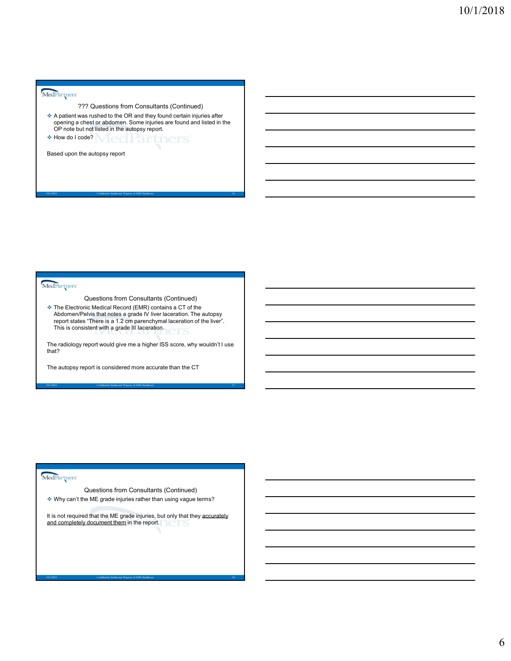- A patient was rushed to the OR and they found certain injuries after opening a chest or abdomen. Some injuries are found and listed in the OP note but not listed in the autopsy report.  $\frac{10/1/2018}{?77}$  Questions from Consultants (Continued)<br>  $\frac{6}{100}$  A patient was nucleated to the CR and they found certain injuries after<br>  $\frac{1}{100}$  Contained Intellectual Property of Property of Revise and Euler
- \* How do I code? | Ical Partners

Based upon the autopsy report

 The Electronic Medical Record (EMR) contains a CT of the Abdomen/Pelvis that notes a grade IV liver laceration. The autopsy report states "There is a 1.2 cm parenchymal laceration of the liver".  $\hfill$ This is consistent with a grade III laceration. Markingtons<br>
Cluestions from Consultants (Continued) 1<br>
The Electroid: Medical Record (CMR) contains a CT of the adegry<br>
Adobre with the adegree and AMN Healthcare Intellectual The adegry<br>
The and consultant Property and S \* The Electronic Medical Record (EMR) contains a CT of the<br>
AbdomentPelvis Bat notes as 12 cm parenchymic laseration. The autopsy<br>
mass consistent with a grade Bill laceration during the liver".<br>
The radiology report would

The radiology report would give me a higher ISS score, why wouldn't I use that? that? The contract of the contract of the contract of the contract of the contract of the contract of the contract of the contract of the contract of the contract of the contract of the contract of the contract of the cont

The autopsy report is considered more accurate than the CT

Why can't the ME grade injuries rather than using vague terms?

It is not required that the ME grade injuries, but only that they accurately and completely document them in the report. The autopry report is considered more accurate than the OT<br>
State Consultants (Continued)<br>
Volty can't the ME grade injuries rather than using vague terms?<br>
It is not required that by ME grade injuries, but only that they